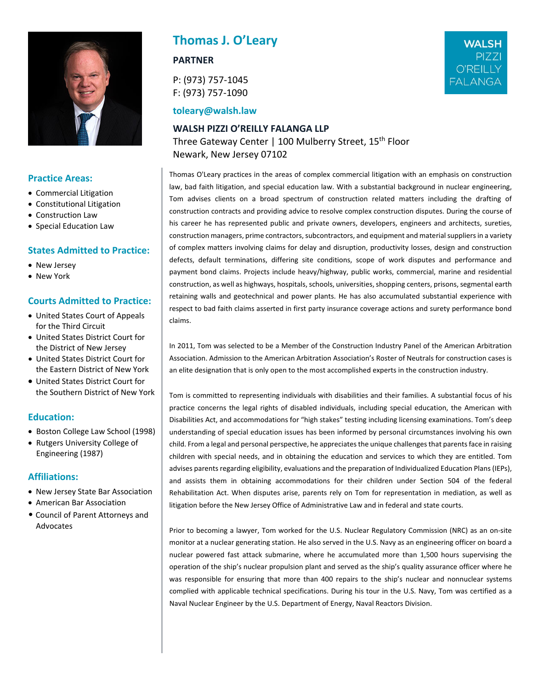

#### **Practice Areas:**

- Commercial Litigation
- Constitutional Litigation
- Construction Law
- Special Education Law

### **States Admitted to Practice:**

- New Jersey
- New York

### **Courts Admitted to Practice:**

- United States Court of Appeals for the Third Circuit
- United States District Court for the District of New Jersey
- United States District Court for the Eastern District of New York
- United States District Court for the Southern District of New York

### **Education:**

- Boston College Law School (1998)
- Rutgers University College of Engineering (1987)

### **Affiliations:**

- New Jersey State Bar Association
- American Bar Association
- Council of Parent Attorneys and Advocates

# **Thomas J. O'Leary**

### **PARTNER**

P: (973) 757‐1045 F: (973) 757‐1090

**toleary@walsh.law**

# **WALSH PIZZI O'REILLY FALANGA LLP** Three Gateway Center | 100 Mulberry Street, 15th Floor Newark, New Jersey 07102

Thomas O'Leary practices in the areas of complex commercial litigation with an emphasis on construction law, bad faith litigation, and special education law. With a substantial background in nuclear engineering, Tom advises clients on a broad spectrum of construction related matters including the drafting of construction contracts and providing advice to resolve complex construction disputes. During the course of his career he has represented public and private owners, developers, engineers and architects, sureties, construction managers, prime contractors, subcontractors, and equipment and material suppliers in a variety of complex matters involving claims for delay and disruption, productivity losses, design and construction defects, default terminations, differing site conditions, scope of work disputes and performance and payment bond claims. Projects include heavy/highway, public works, commercial, marine and residential construction, as well as highways, hospitals, schools, universities, shopping centers, prisons, segmental earth retaining walls and geotechnical and power plants. He has also accumulated substantial experience with respect to bad faith claims asserted in first party insurance coverage actions and surety performance bond claims.

In 2011, Tom was selected to be a Member of the Construction Industry Panel of the American Arbitration Association. Admission to the American Arbitration Association's Roster of Neutrals for construction cases is an elite designation that is only open to the most accomplished experts in the construction industry.

Tom is committed to representing individuals with disabilities and their families. A substantial focus of his practice concerns the legal rights of disabled individuals, including special education, the American with Disabilities Act, and accommodations for "high stakes" testing including licensing examinations. Tom's deep understanding of special education issues has been informed by personal circumstances involving his own child. From a legal and personal perspective, he appreciates the unique challenges that parents face in raising children with special needs, and in obtaining the education and services to which they are entitled. Tom advises parents regarding eligibility, evaluations and the preparation of Individualized Education Plans(IEPs), and assists them in obtaining accommodations for their children under Section 504 of the federal Rehabilitation Act. When disputes arise, parents rely on Tom for representation in mediation, as well as litigation before the New Jersey Office of Administrative Law and in federal and state courts.

Prior to becoming a lawyer, Tom worked for the U.S. Nuclear Regulatory Commission (NRC) as an on‐site monitor at a nuclear generating station. He also served in the U.S. Navy as an engineering officer on board a nuclear powered fast attack submarine, where he accumulated more than 1,500 hours supervising the operation of the ship's nuclear propulsion plant and served as the ship's quality assurance officer where he was responsible for ensuring that more than 400 repairs to the ship's nuclear and nonnuclear systems complied with applicable technical specifications. During his tour in the U.S. Navy, Tom was certified as a Naval Nuclear Engineer by the U.S. Department of Energy, Naval Reactors Division.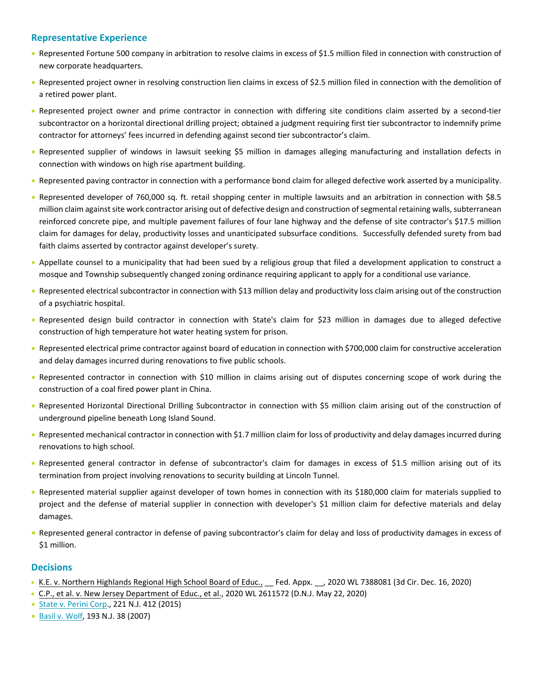## **Representative Experience**

- Represented Fortune 500 company in arbitration to resolve claims in excess of \$1.5 million filed in connection with construction of new corporate headquarters.
- Represented project owner in resolving construction lien claims in excess of \$2.5 million filed in connection with the demolition of a retired power plant.
- Represented project owner and prime contractor in connection with differing site conditions claim asserted by a second-tier subcontractor on a horizontal directional drilling project; obtained a judgment requiring first tier subcontractor to indemnify prime contractor for attorneys' fees incurred in defending against second tier subcontractor's claim.
- Represented supplier of windows in lawsuit seeking \$5 million in damages alleging manufacturing and installation defects in connection with windows on high rise apartment building.
- Represented paving contractor in connection with a performance bond claim for alleged defective work asserted by a municipality.
- Represented developer of 760,000 sq. ft. retail shopping center in multiple lawsuits and an arbitration in connection with \$8.5 million claim against site work contractor arising out of defective design and construction of segmental retaining walls, subterranean reinforced concrete pipe, and multiple pavement failures of four lane highway and the defense of site contractor's \$17.5 million claim for damages for delay, productivity losses and unanticipated subsurface conditions. Successfully defended surety from bad faith claims asserted by contractor against developer's surety.
- Appellate counsel to a municipality that had been sued by a religious group that filed a development application to construct a mosque and Township subsequently changed zoning ordinance requiring applicant to apply for a conditional use variance.
- Represented electrical subcontractor in connection with \$13 million delay and productivity loss claim arising out of the construction of a psychiatric hospital.
- Represented design build contractor in connection with State's claim for \$23 million in damages due to alleged defective construction of high temperature hot water heating system for prison.
- Represented electrical prime contractor against board of education in connection with \$700,000 claim for constructive acceleration and delay damages incurred during renovations to five public schools.
- Represented contractor in connection with \$10 million in claims arising out of disputes concerning scope of work during the construction of a coal fired power plant in China.
- Represented Horizontal Directional Drilling Subcontractor in connection with \$5 million claim arising out of the construction of underground pipeline beneath Long Island Sound.
- Represented mechanical contractor in connection with \$1.7 million claim for loss of productivity and delay damagesincurred during renovations to high school.
- Represented general contractor in defense of subcontractor's claim for damages in excess of \$1.5 million arising out of its termination from project involving renovations to security building at Lincoln Tunnel.
- Represented material supplier against developer of town homes in connection with its \$180,000 claim for materials supplied to project and the defense of material supplier in connection with developer's \$1 million claim for defective materials and delay damages.
- Represented general contractor in defense of paving subcontractor's claim for delay and loss of productivity damages in excess of \$1 million.

### **Decisions**

- K.E. v. Northern Highlands Regional High School Board of Educ., \_\_ Fed. Appx. \_\_, 2020 WL 7388081 (3d Cir. Dec. 16, 2020)
- C.P., et al. v. New Jersey Department of Educ., et al., 2020 WL 2611572 (D.N.J. May 22, 2020)
- State v. Perini Corp., 221 N.J. 412 (2015)
- Basil v. Wolf, 193 N.J. 38 (2007)